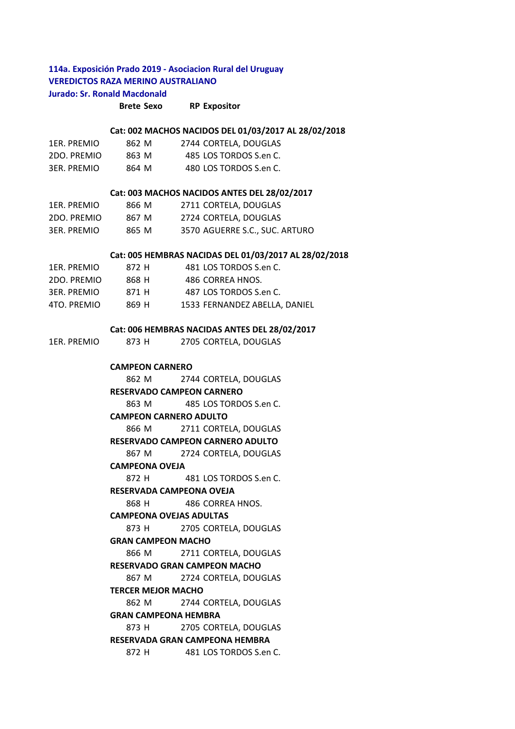# **114a. Exposición Prado 2019 ‐ Asociacion Rural del Uruguay VEREDICTOS RAZA MERINO AUSTRALIANO Jurado: Sr. Ronald Macdonald**

**Brete Sexo RP Expositor**

#### **Cat: 002 MACHOS NACIDOS DEL 01/03/2017 AL 28/02/2018**

| 1ER. PREMIO | 862 M | 2744 CORTELA, DOUGLAS  |
|-------------|-------|------------------------|
| 2DO. PREMIO | 863 M | 485 LOS TORDOS S.en C. |
| 3ER. PREMIO | 864 M | 480 LOS TORDOS S.en C. |

#### **Cat: 003 MACHOS NACIDOS ANTES DEL 28/02/2017**

| 1ER. PREMIO | 866 M | 2711 CORTELA, DOUGLAS          |
|-------------|-------|--------------------------------|
| 2DO. PREMIO | 867 M | 2724 CORTELA, DOUGLAS          |
| 3ER. PREMIO | 865 M | 3570 AGUERRE S.C., SUC. ARTURO |

#### **Cat: 005 HEMBRAS NACIDAS DEL 01/03/2017 AL 28/02/2018**

| 1ER. PREMIO | 872 H | 481 LOS TORDOS S.en C.        |
|-------------|-------|-------------------------------|
| 2DO. PREMIO | 868 H | 486 CORREA HNOS.              |
| 3ER. PREMIO | 871 H | 487 LOS TORDOS S.en C.        |
| 4TO. PREMIO | 869 H | 1533 FERNANDEZ ABELLA, DANIEL |

#### **Cat: 006 HEMBRAS NACIDAS ANTES DEL 28/02/2017**

| 1ER. PREMIO | 873 H |  | 2705 CORTELA, DOUGLAS |  |
|-------------|-------|--|-----------------------|--|
|-------------|-------|--|-----------------------|--|

### **CAMPEON CARNERO**

862 M 2744 CORTELA, DOUGLAS 863 M 485 LOS TORDOS S.en C. 866 M 2711 CORTELA, DOUGLAS 867 M 2724 CORTELA, DOUGLAS 872 H 481 LOS TORDOS S.en C. 868 H 486 CORREA HNOS. 873 H 2705 CORTELA, DOUGLAS 866 M 2711 CORTELA, DOUGLAS 867 M 2724 CORTELA, DOUGLAS 862 M 2744 CORTELA, DOUGLAS 873 H 2705 CORTELA, DOUGLAS 872 H 481 LOS TORDOS S.en C. **RESERVADA GRAN CAMPEONA HEMBRA RESERVADA CAMPEONA OVEJA CAMPEONA OVEJAS ADULTAS GRAN CAMPEON MACHO RESERVADO GRAN CAMPEON MACHO TERCER MEJOR MACHO GRAN CAMPEONA HEMBRA RESERVADO CAMPEON CARNERO CAMPEON CARNERO ADULTO RESERVADO CAMPEON CARNERO ADULTO CAMPEONA OVEJA**